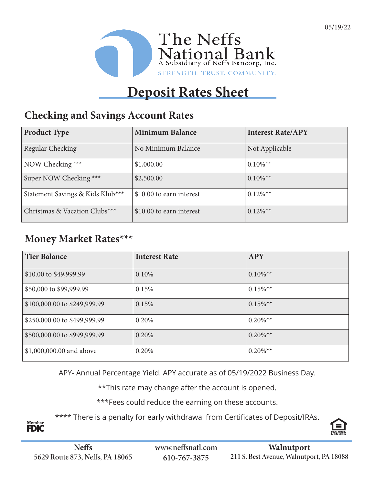

# **Deposit Rates Sheet**

#### **Checking and Savings Account Rates**

| <b>Product Type</b>              | <b>Minimum Balance</b>   | <b>Interest Rate/APY</b> |
|----------------------------------|--------------------------|--------------------------|
| Regular Checking                 | No Minimum Balance       | Not Applicable           |
| NOW Checking ***                 | \$1,000.00               | $0.10\%$ <sup>**</sup>   |
| Super NOW Checking ***           | \$2,500.00               | $0.10\%$ <sup>**</sup>   |
| Statement Savings & Kids Klub*** | \$10.00 to earn interest | $0.12\%$ <sup>**</sup>   |
| Christmas & Vacation Clubs***    | \$10.00 to earn interest | $0.12\%$ <sup>**</sup>   |

### **Money Market Rates\*\*\***

| <b>Tier Balance</b>          | <b>Interest Rate</b> | <b>APY</b>             |
|------------------------------|----------------------|------------------------|
| \$10.00 to \$49,999.99       | 0.10%                | $0.10\%$ <sup>**</sup> |
| \$50,000 to \$99,999.99      | 0.15%                | $0.15\%$ <sup>**</sup> |
| \$100,000.00 to \$249,999.99 | 0.15%                | $0.15\%$ <sup>**</sup> |
| \$250,000.00 to \$499,999.99 | 0.20%                | $0.20\%$ <sup>**</sup> |
| \$500,000.00 to \$999,999.99 | 0.20%                | $0.20\%$ <sup>**</sup> |
| \$1,000,000.00 and above     | 0.20%                | $0.20\%$ <sup>**</sup> |

APY- Annual Percentage Yield. APY accurate as of 05/19/2022 Business Day.

\*\*This rate may change after the account is opened.

\*\*\*Fees could reduce the earning on these accounts.

\*\*\*\* There is a penalty for early withdrawal from Certificates of Deposit/IRAs.



Member<br>**FDIC**